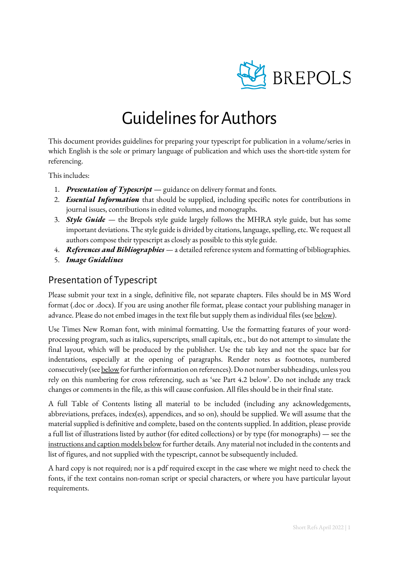

## Guidelines for Authors

This document provides guidelines for preparing your typescript for publication in a volume/series in which English is the sole or primary language of publication and which uses the short-title system for referencing.

This includes:

- 1. *Presentation of Typescript* guidance on delivery format and fonts.
- 2. *Essential Information* that should be supplied, including specific notes for contributions in journal issues, contributions in edited volumes, and monographs.
- 3. *Style Guide*  the Brepols style guide largely follows the MHRA style guide, but has some important deviations. The style guide is divided by citations, language, spelling, etc. We request all authors compose their typescript as closely as possible to this style guide.
- 4. *References and Bibliographies*  a detailed reference system and formatting of bibliographies.
- 5. *Image Guidelines*

## Presentation of Typescript

Please submit your text in a single, definitive file, not separate chapters. Files should be in MS Word format (.doc or .docx). If you are using another file format, please contact your publishing manager in advance. Please do not embed images in the text file but supply them as individual files (se[e below\)](#page-19-0).

Use Times New Roman font, with minimal formatting. Use the formatting features of your wordprocessing program, such as italics, superscripts, small capitals, etc., but do not attempt to simulate the final layout, which will be produced by the publisher. Use the tab key and not the space bar for indentations, especially at the opening of paragraphs. Render notes as footnotes, numbered consecutively (see below for further information on references). Do not number subheadings, unless you rely on this numbering for cross referencing, such as 'see Part 4.2 below'. Do not include any track changes or comments in the file, as this will cause confusion. All files should be in their final state.

A full Table of Contents listing all material to be included (including any acknowledgements, abbreviations, prefaces, index(es), appendices, and so on), should be supplied. We will assume that the material supplied is definitive and complete, based on the contents supplied. In addition, please provide a full list of illustrations listed by author (for edited collections) or by type (for monographs) — see the [instructions and caption models below](#page-19-0) for further details. Any material not included in the contents and list of figures, and not supplied with the typescript, cannot be subsequently included.

A hard copy is not required; nor is a pdf required except in the case where we might need to check the fonts, if the text contains non-roman script or special characters, or where you have particular layout requirements.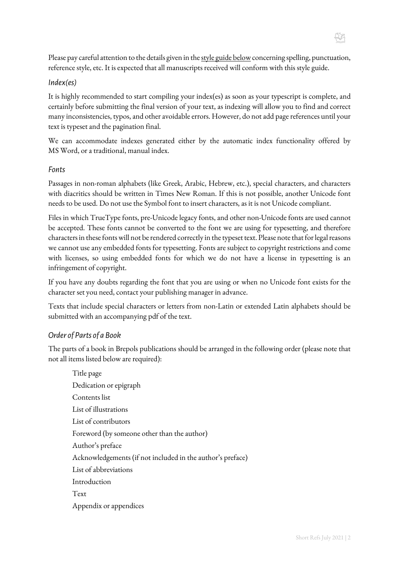Please pay careful attention to the details given in th[e style guide](#page-2-0) below concerning spelling, punctuation, reference style, etc. It is expected that all manuscripts received will conform with this style guide.

#### *Index(es)*

It is highly recommended to start compiling your index(es) as soon as your typescript is complete, and certainly before submitting the final version of your text, as indexing will allow you to find and correct many inconsistencies, typos, and other avoidable errors. However, do not add page references until your text is typeset and the pagination final.

We can accommodate indexes generated either by the automatic index functionality offered by MS Word, or a traditional, manual index.

#### *Fonts*

Passages in non-roman alphabets (like Greek, Arabic, Hebrew, etc.), special characters, and characters with diacritics should be written in Times New Roman. If this is not possible, another Unicode font needs to be used. Do not use the Symbol font to insert characters, as it is not Unicode compliant.

Files in which TrueType fonts, pre-Unicode legacy fonts, and other non-Unicode fonts are used cannot be accepted. These fonts cannot be converted to the font we are using for typesetting, and therefore characters in these fonts will not be rendered correctly in the typeset text. Please note that for legal reasons we cannot use any embedded fonts for typesetting. Fonts are subject to copyright restrictions and come with licenses, so using embedded fonts for which we do not have a license in typesetting is an infringement of copyright.

If you have any doubts regarding the font that you are using or when no Unicode font exists for the character set you need, contact your publishing manager in advance.

Texts that include special characters or letters from non-Latin or extended Latin alphabets should be submitted with an accompanying pdf of the text.

#### *Order of Parts of a Book*

The parts of a book in Brepols publications should be arranged in the following order (please note that not all items listed below are required):

Title page Dedication or epigraph Contents list List of illustrations List of contributors Foreword (by someone other than the author) Author's preface Acknowledgements (if not included in the author's preface) List of abbreviations Introduction Text Appendix or appendices

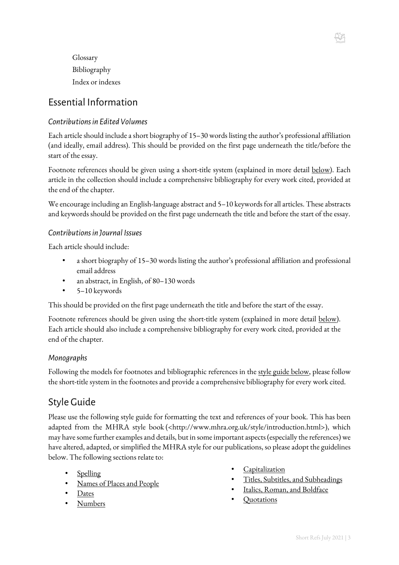Glossary Bibliography Index or indexes

## Essential Information

### *Contributions in Edited Volumes*

Each article should include a short biography of 15–30 words listing the author's professional affiliation (and ideally, email address). This should be provided on the first page underneath the title/before the start of the essay.

Footnote references should be given using a short-title system (explained in more detail [below\)](#page-8-0). Each article in the collection should include a comprehensive bibliography for every work cited, provided at the end of the chapter.

We encourage including an English-language abstract and 5-10 keywords for all articles. These abstracts and keywords should be provided on the first page underneath the title and before the start of the essay.

#### *Contributions in Journal Issues*

Each article should include:

- a short biography of 15–30 words listing the author's professional affiliation and professional email address
- an abstract, in English, of 80–130 words
- 5–10 keywords

This should be provided on the first page underneath the title and before the start of the essay.

Footnote references should be given using the short-title system (explained in more detail [below\)](#page-8-0). Each article should also include a comprehensive bibliography for every work cited, provided at the end of the chapter.

#### *Monographs*

Following the models for footnotes and bibliographic references in the [style guide](#page-2-0) below, please follow the short-title system in the footnotes and provide a comprehensive bibliography for every work cited.

## <span id="page-2-0"></span>Style Guide

Please use the following style guide for formatting the text and references of your book. This has been adapted from the MHRA style book (<http://www.mhra.org.uk/style/introduction.html>), which may have some further examples and details, but in some important aspects (especially the references) we have altered, adapted, or simplified the MHRA style for our publications, so please adopt the guidelines below. The following sections relate to:

- **[Spelling](#page-3-0)**
- Names of Places and People
- [Dates](#page-3-2)
- [Numbers](#page-3-3)
- **[Capitalization](#page-6-0)**
- [Titles, Subtitles, and Subheadings](#page-6-1)
- [Italics, Roman, and Boldface](#page-7-0)
- [Quotations](#page-7-1)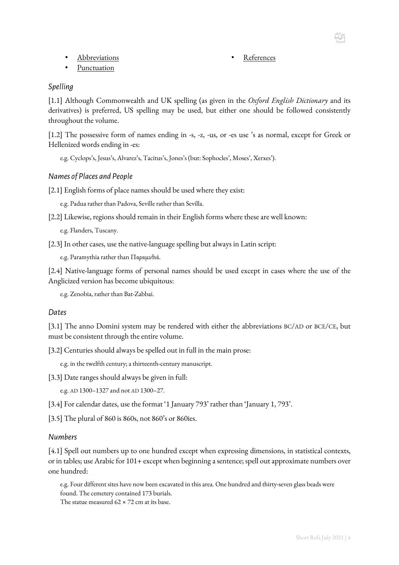- [Abbreviations](#page-4-0)
- [Punctuation](#page-5-0)

## <span id="page-3-0"></span>*Spelling*

[1.1] Although Commonwealth and UK spelling (as given in the *Oxford English Dictionary* and its derivatives) is preferred, US spelling may be used, but either one should be followed consistently throughout the volume.

**[References](#page-8-0)** 

[1.2] The possessive form of names ending in -s, -z, -us, or -es use 's as normal, except for Greek or Hellenized words ending in -es:

e.g. Cyclops's, Jesus's, Alvarez's, Tacitus's, Jones's (but: Sophocles', Moses', Xerxes').

#### <span id="page-3-1"></span>*Names of Places and People*

[2.1] English forms of place names should be used where they exist:

e.g. Padua rather than Padova, Seville rather than Sevilla.

[2.2] Likewise, regions should remain in their English forms where these are well known:

e.g. Flanders, Tuscany.

[2.3] In other cases, use the native-language spelling but always in Latin script:

e.g. Paramythia rather than Παραμυθιά.

[2.4] Native-language forms of personal names should be used except in cases where the use of the Anglicized version has become ubiquitous:

e.g. Zenobia, rather than Bat-Zabbai.

#### <span id="page-3-2"></span>*Dates*

[3.1] The anno Domini system may be rendered with either the abbreviations BC/AD or BCE/CE, but must be consistent through the entire volume.

[3.2] Centuries should always be spelled out in full in the main prose:

e.g. in the twelfth century; a thirteenth-century manuscript.

<span id="page-3-4"></span>[3.3] Date ranges should always be given in full:

e.g. AD 1300–1327 and not AD 1300–27.

[3.4] For calendar dates, use the format '1 January 793' rather than 'January 1, 793'.

[3.5] The plural of 860 is 860s, not 860's or 860ies.

#### <span id="page-3-3"></span>*Numbers*

[4.1] Spell out numbers up to one hundred except when expressing dimensions, in statistical contexts, or in tables; use Arabic for 101+ except when beginning a sentence; spell out approximate numbers over one hundred:

e.g. Four different sites have now been excavated in this area. One hundred and thirty-seven glass beads were found. The cemetery contained 173 burials. The statue measured  $62 \times 72$  cm at its base.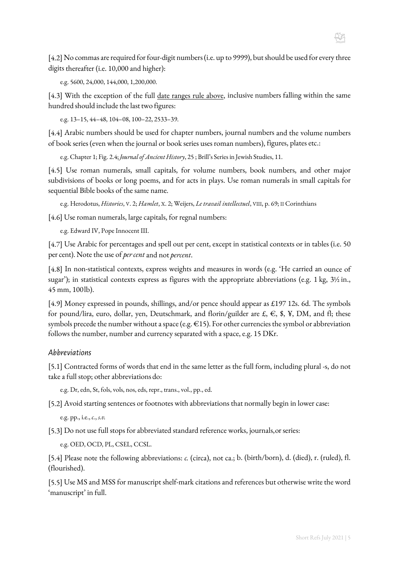

e.g. 5600, 24,000, 144,000, 1,200,000.

[4.3] With the exception of the full [date ranges rule above,](#page-3-4) inclusive numbers falling within the same hundred should include the last two figures:

e.g. 13–15, 44–48, 104–08, 100–22, 2533–39.

[4.4] Arabic numbers should be used for chapter numbers, journal numbers and the volume numbers of book series (even when the journal or book series uses roman numbers), figures, plates etc.:

e.g. Chapter 1; Fig. 2.4; *Journalof Ancient History*, 25 ; Brill's Series in Jewish Studies, 11.

[4.5] Use roman numerals, small capitals, for volume numbers, book numbers, and other major subdivisions of books or long poems, and for acts in plays. Use roman numerals in small capitals for sequential Bible books of the same name.

e.g. Herodotus, *Histories*, V. 2; *Hamlet*, X. 2; Weijers, *Le travail intellectuel*, VIII, p. 69; II Corinthians

[4.6] Use roman numerals, large capitals, for regnal numbers:

e.g. Edward IV, Pope Innocent III.

[4.7] Use Arabic for percentages and spell out per cent, except in statistical contexts or in tables (i.e. 50 per cent). Note the use of *per cent*and not *percent*.

[4.8] In non-statistical contexts, express weights and measures in words (e.g. 'He carried an ounce of sugar'); in statistical contexts express as figures with the appropriate abbreviations (e.g. 1 kg, 3½ in., 45 mm, 100lb).

[4.9] Money expressed in pounds, shillings, and/or pence should appear as £197 12s. 6d. The symbols for pound/lira, euro, dollar, yen, Deutschmark, and florin/guilder are  $f, f, f$ ,  $\mathcal{F}$ ,  $\mathcal{F}$ ,  $\mathcal{F}$ ,  $\mathcal{D}M$ , and fl; these symbols precede the number without a space (e.g. €15). For other currencies the symbol or abbreviation follows the number, number and currency separated with a space, e.g. 15 DKr.

#### <span id="page-4-0"></span>*Abbreviations*

[5.1] Contracted forms of words that end in the same letter as the full form, including plural -s, do not take a full stop; other abbreviations do:

e.g. Dr, edn, St, fols, vols, nos, eds, repr., trans., vol., pp., ed.

[5.2] Avoid starting sentences or footnotes with abbreviations that normally begin in lower case:

e.g. pp., i.e., *c.*, *s.v.*

[5.3] Do not use full stops for abbreviated standard reference works, journals,or series:

e.g. OED, OCD, PL, CSEL, CCSL.

[5.4] Please note the following abbreviations: *c.* (circa), not ca.; b. (birth/born), d. (died), r. (ruled), fl. (flourished).

[5.5] Use MS and MSS for manuscript shelf-mark citations and references but otherwise write the word 'manuscript' in full.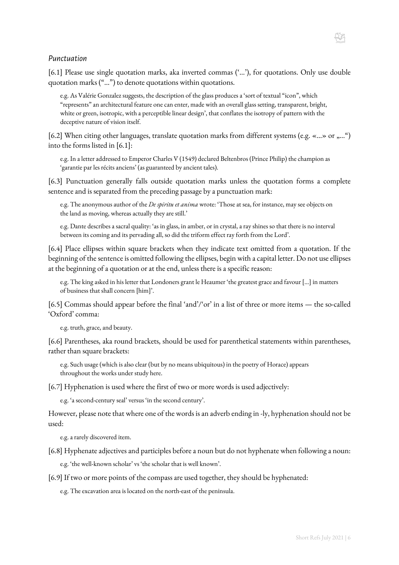#### <span id="page-5-0"></span>*Punctuation*

[6.1] Please use single quotation marks, aka inverted commas ('…'), for quotations. Only use double quotation marks ("…") to denote quotations within quotations.

e.g. As Valérie Gonzalez suggests, the description of the glass produces a 'sort of textual "icon", which "represents" an architectural feature one can enter, made with an overall glass setting, transparent, bright, white or green, isotropic, with a perceptible linear design', that conflates the isotropy of pattern with the deceptive nature of vision itself.

[6.2] When citing other languages, translate quotation marks from different systems (e.g. «...» or "...") into the forms listed in [6.1]:

e.g. In a letter addressed to Emperor Charles V (1549) declared Beltenbros (Prince Philip) the champion as 'garantie par les récits anciens' (as guaranteed by ancient tales).

<span id="page-5-1"></span>[6.3] Punctuation generally falls outside quotation marks unless the quotation forms a complete sentence and is separated from the preceding passage by a punctuation mark:

e.g. The anonymous author of the *De spiritu et anima* wrote: 'Those at sea, for instance, may see objects on the land as moving, whereas actually they are still.'

e.g. Dante describes a sacral quality: 'as in glass, in amber, or in crystal, a ray shines so that there is no interval between its coming and its pervading all, so did the triform effect ray forth from the Lord'.

[6.4] Place ellipses within square brackets when they indicate text omitted from a quotation. If the beginning of the sentence is omitted following the ellipses, begin with a capital letter. Do not use ellipses at the beginning of a quotation or at the end, unless there is a specific reason:

e.g. The king asked in his letter that Londoners grant le Heaumer 'the greatest grace and favour […] in matters of business that shall concern [him]'.

[6.5] Commas should appear before the final 'and'/'or' in a list of three or more items — the so-called 'Oxford' comma:

e.g. truth, grace, and beauty.

[6.6] Parentheses, aka round brackets, should be used for parenthetical statements within parentheses, rather than square brackets:

e.g. Such usage (which is also clear (but by no means ubiquitous) in the poetry of Horace) appears throughout the works under study here.

[6.7] Hyphenation is used where the first of two or more words is used adjectively:

e.g. 'a second-century seal' versus 'in the second century'.

However, please note that where one of the words is an adverb ending in -ly, hyphenation should not be used:

e.g. a rarely discovered item.

[6.8] Hyphenate adjectives and participles before a noun but do not hyphenate when following a noun:

e.g. 'the well-known scholar' vs 'the scholar that is well known'.

[6.9] If two or more points of the compass are used together, they should be hyphenated:

e.g. The excavation area is located on the north-east of the peninsula.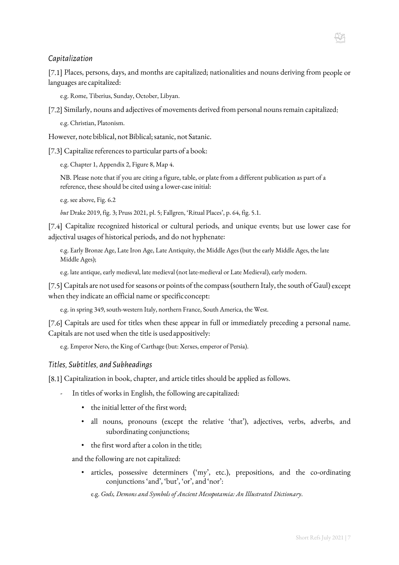#### <span id="page-6-0"></span>*Capitalization*

[7.1] Places, persons, days, and months are capitalized; nationalities and nouns deriving from people or languages are capitalized:

e.g. Rome, Tiberius, Sunday, October, Libyan.

[7.2] Similarly, nouns and adjectives of movements derived from personal nouns remain capitalized:

e.g. Christian, Platonism.

However, note biblical, not Biblical; satanic, not Satanic.

[7.3] Capitalize references to particular parts of a book:

e.g. Chapter 1, Appendix 2, Figure 8, Map 4.

NB. Please note that if you are citing a figure, table, or plate from a different publication as part of a reference, these should be cited using a lower-case initial:

e.g. see above, Fig. 6.2

*but* Drake 2019, fig. 3; Pruss 2021, pl. 5; Fallgren, 'Ritual Places', p. 64, fig. 5.1.

[7.4] Capitalize recognized historical or cultural periods, and unique events; but use lower case for adjectival usages of historical periods, and do not hyphenate:

e.g. Early Bronze Age, Late Iron Age, Late Antiquity, the Middle Ages (but the early Middle Ages, the late Middle Ages);

e.g. late antique, early medieval, late medieval (not late-medieval or Late Medieval), early modern.

[7.5] Capitals are not used for seasons or points of the compass (southern Italy, the south of Gaul) except when they indicate an official name or specificconcept:

e.g. in spring 349, south-western Italy, northern France, South America, the West.

[7.6] Capitals are used for titles when these appear in full or immediately preceding a personal name. Capitals are not used when the title is usedappositively:

e.g. Emperor Nero, the King of Carthage (but: Xerxes, emperor of Persia).

#### <span id="page-6-1"></span>*Titles, Subtitles, and Subheadings*

[8.1] Capitalization in book, chapter, and article titles should be applied as follows.

- In titles of works in English, the following are capitalized:
	- the initial letter of the first word;
	- all nouns, pronouns (except the relative 'that'), adjectives, verbs, adverbs, and subordinating conjunctions;
	- the first word after a colon in the title;

and the following are not capitalized:

• articles, possessive determiners ('my', etc.), prepositions, and the co-ordinating conjunctions 'and', 'but', 'or', and 'nor':

e.g. *Gods, Demons and Symbols of Ancient Mesopotamia: An Illustrated Dictionary*.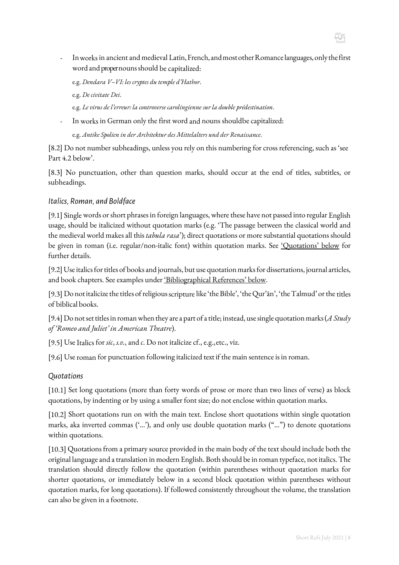- Inworks in ancient and medieval Latin,French,andmostotherRomancelanguages,onlythefirst word and proper nouns should be capitalized:

e.g. *Dendara V–VI: les cryptes du temple d'Hathor*.

- e.g. *De civitate Dei*.
- e.g. *Le virus de l'erreur: la controverse carolingienne sur la double prédestination*.
- In works in German only the first word and nouns shouldbe capitalized:

e.g. *Antike Spolien in der Architektur des Mittelalters und der Renaissance*.

[8.2] Do not number subheadings, unless you rely on this numbering for cross referencing, such as 'see Part 4.2 below'.

[8.3] No punctuation, other than question marks, should occur at the end of titles, subtitles, or subheadings.

#### <span id="page-7-0"></span>*Italics, Roman, and Boldface*

[9.1] Single words or short phrases in foreign languages, where these have not passed into regular English usage, should be italicized without quotation marks (e.g. 'The passage between the classical world and the medieval world makes all this *tabula rasa*'); direct quotations or more substantial quotations should be given in roman (i.e. regular/non-italic font) within quotation marks. See ['Quotations' below](#page-7-1) for further details.

[9.2] Use italics for titles of books and journals, but use quotation marks for dissertations, journal articles, and book chapters. See examples under ['Bibliographical References'](#page-9-0) below.

[9.3] Do not italicize the titles of religious scripture like 'the Bible', 'the Qur'ān', 'the Talmud' or the titles of biblical books.

[9.4] Do not set titles in roman when they are a part of a title; instead, use single quotationmarks (*A Study of 'Romeo and Juliet' in American Theatre*).

[9.5] Use Italics for *sic*, *s.v.*, and *c*. Do not italicize cf., e.g.,etc., viz.

[9.6] Use roman for punctuation following italicized text if the main sentence is in roman.

#### <span id="page-7-1"></span>*Quotations*

[10.1] Set long quotations (more than forty words of prose or more than two lines of verse) as block quotations, by indenting or by using a smaller font size; do not enclose within quotation marks.

[10.2] Short quotations run on with the main text. Enclose short quotations within single quotation marks, aka inverted commas ('…'), and only use double quotation marks ("…") to denote quotations within quotations.

[10.3] Quotations from a primary source provided in the main body of the text should include both the original language and a translation in modern English. Both should be in roman typeface, not italics. The translation should directly follow the quotation (within parentheses without quotation marks for shorter quotations, or immediately below in a second block quotation within parentheses without quotation marks, for long quotations). If followed consistently throughout the volume, the translation can also be given in a footnote.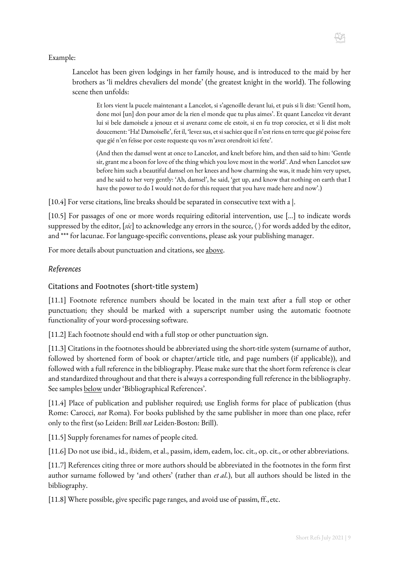Lancelot has been given lodgings in her family house, and is introduced to the maid by her brothers as 'li meldres chevaliers del monde' (the greatest knight in the world). The following scene then unfolds:

Et lors vient la pucele maintenant a Lancelot, si s'agenoille devant lui, et puis si li dist: 'Gentil hom, done moi [un] don pour amor de la rien el monde que tu plus aimes'. Et quant Lanceloz vit devant lui si bele damoisele a jenouz et si avenanz come ele estoit, si en fu trop corociez, et si li dist molt doucement: 'Ha! Damoiselle', fet il, 'levez sus, et si sachiez que il n'est riens en terre que gié poisse fere que gié n'en feïsse por ceste requeste qu vos m'avez orendroit ici fete'.

(And then the damsel went at once to Lancelot, and knelt before him, and then said to him: 'Gentle sir, grant me a boon for love of the thing which you love most in the world'. And when Lancelot saw before him such a beautiful damsel on her knees and how charming she was, it made him very upset, and he said to her very gently: 'Ah, damsel', he said, 'get up, and know that nothing on earth that I have the power to do I would not do for this request that you have made here and now'.)

[10.4] For verse citations, line breaks should be separated in consecutive text with a  $\vert$ .

[10.5] For passages of one or more words requiring editorial intervention, use [...] to indicate words suppressed by the editor, [*sic*] to acknowledge any errors in the source, 〈 〉 for words added by the editor, and \*\*\* for lacunae. For language-specific conventions, please ask your publishing manager.

For more details about punctuation and citations, see [above.](#page-5-1)

#### <span id="page-8-0"></span>*References*

#### Citations and Footnotes (short-title system)

[11.1] Footnote reference numbers should be located in the main text after a full stop or other punctuation; they should be marked with a superscript number using the automatic footnote functionality of your word-processing software.

[11.2] Each footnote should end with a full stop or other punctuation sign.

[11.3] Citations in the footnotes should be abbreviated using the short-title system (surname of author, followed by shortened form of book or chapter/article title, and page numbers (if applicable)), and followed with a full reference in the bibliography. Please make sure that the short form reference is clear and standardized throughout and that there is always a corresponding full reference in the bibliography. See samples below under 'Bibliographical References'.

[11.4] Place of publication and publisher required; use English forms for place of publication (thus Rome: Carocci, *not* Roma). For books published by the same publisher in more than one place, refer only to the first (so Leiden: Brill *not* Leiden-Boston: Brill).

[11.5] Supply forenames for names of people cited.

[11.6] Do not use ibid., id., ibidem, et al., passim, idem, eadem, loc. cit., op. cit., or other abbreviations.

[11.7] References citing three or more authors should be abbreviated in the footnotes in the form first author surname followed by 'and others' (rather than *et al.*), but all authors should be listed in the bibliography.

[11.8] Where possible, give specific page ranges, and avoid use of passim, ff., etc.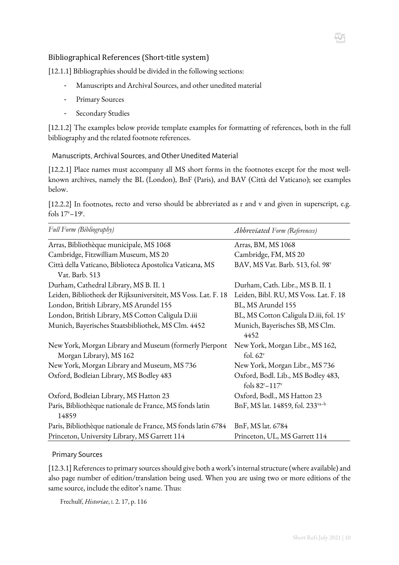#### <span id="page-9-0"></span>Bibliographical References (Short-title system)

[12.1.1] Bibliographies should be divided in the following sections:

- Manuscripts and Archival Sources, and other unedited material
- Primary Sources
- Secondary Studies

[12.1.2] The examples below provide template examples for formatting of references, both in the full bibliography and the related footnote references.

Manuscripts, Archival Sources, and Other Unedited Material

[12.2.1] Place names must accompany all MS short forms in the footnotes except for the most wellknown archives, namely the BL (London), BnF (Paris), and BAV (Città del Vaticano); see examples below.

[12.2.2] In footnotes, recto and verso should be abbreviated as r and v and given in superscript, e.g. fols 17<sup>v</sup>-19<sup>r</sup>.

| Full Form (Bibliography)                                                          | Abbreviated Form (References)                                                |
|-----------------------------------------------------------------------------------|------------------------------------------------------------------------------|
| Arras, Bibliothèque municipale, MS 1068                                           | Arras, BM, MS 1068                                                           |
| Cambridge, Fitzwilliam Museum, MS 20                                              | Cambridge, FM, MS 20                                                         |
| Città della Vaticano, Biblioteca Apostolica Vaticana, MS                          | BAV, MS Vat. Barb. 513, fol. 98v                                             |
| Vat. Barb. 513                                                                    |                                                                              |
| Durham, Cathedral Library, MS B. II. 1                                            | Durham, Cath. Libr., MS B. II. 1                                             |
| Leiden, Bibliotheek der Rijksuniversiteit, MS Voss. Lat. F. 18                    | Leiden, Bibl. RU, MS Voss. Lat. F. 18                                        |
| London, British Library, MS Arundel 155                                           | BL, MS Arundel 155                                                           |
| London, British Library, MS Cotton Caligula D.iii                                 | BL, MS Cotton Caligula D.iii, fol. 15 <sup>r</sup>                           |
| Munich, Bayerisches Staatsbibliothek, MS Clm. 4452                                | Munich, Bayerisches SB, MS Clm.<br>4452                                      |
| New York, Morgan Library and Museum (formerly Pierpont<br>Morgan Library), MS 162 | New York, Morgan Libr., MS 162,<br>fol. $62v$                                |
| New York, Morgan Library and Museum, MS 736                                       | New York, Morgan Libr., MS 736                                               |
| Oxford, Bodleian Library, MS Bodley 483                                           | Oxford, Bodl. Lib., MS Bodley 483,<br>fols 82 <sup>r</sup> -117 <sup>v</sup> |
| Oxford, Bodleian Library, MS Hatton 23                                            | Oxford, Bodl., MS Hatton 23                                                  |
| Paris, Bibliothèque nationale de France, MS fonds latin<br>14859                  | BnF, MS lat. 14859, fol. 233 <sup>va-b</sup>                                 |
| Paris, Bibliothèque nationale de France, MS fonds latin 6784                      | BnF, MS lat. 6784                                                            |
| Princeton, University Library, MS Garrett 114                                     | Princeton, UL, MS Garrett 114                                                |

#### Primary Sources

[12.3.1] References to primary sources should give both a work's internal structure (where available) and also page number of edition/translation being used. When you are using two or more editions of the same source, include the editor's name. Thus:

Frechulf, *Historiae*, I. 2. 17, p. 116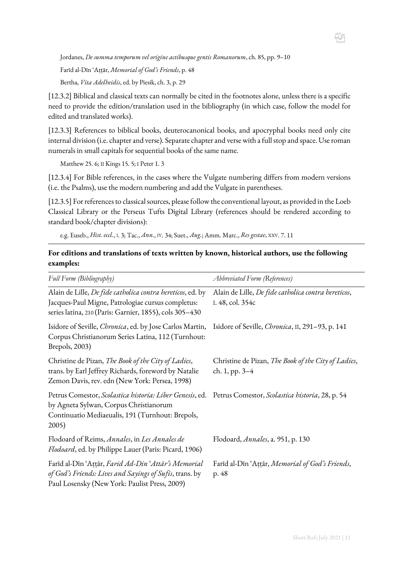Jordanes, *De summa temporum vel origine actibusque gentis Romanorum*, ch. 85, pp. 9–10

Farīd al-Dīn ʿAṭṭār, *Memorial of God's Friends*, p. 48

Bertha, *Vita Adelheidis*, ed. by Piesik, ch. 3, p. 29

[12.3.2] Biblical and classical texts can normally be cited in the footnotes alone, unless there is a specific need to provide the edition/translation used in the bibliography (in which case, follow the model for edited and translated works).

[12.3.3] References to biblical books, deuterocanonical books, and apocryphal books need only cite internal division (i.e. chapter and verse). Separate chapter and verse with a full stop and space. Use roman numerals in small capitals for sequential books of the same name.

Matthew 25. 6; II Kings 15. 5; I Peter 1. 3

[12.3.4] For Bible references, in the cases where the Vulgate numbering differs from modern versions (i.e. the Psalms), use the modern numbering and add the Vulgate in parentheses.

[12.3.5] For references to classical sources, please follow the conventional layout, as provided in the Loeb Classical Library or the Perseus Tufts Digital Library (references should be rendered according to standard book/chapter divisions):

e.g. Euseb., *Hist. eccl.*, I. 3; Tac., *Ann.*, IV. 34; Suet., *Aug.*; Amm. Marc., *Res gestae*, XXV. 7. 11

#### **For editions and translations of texts written by known, historical authors, use the following examples:**

| Full Form (Bibliography)                                                                                                                                                                                        | Abbreviated Form (References)                                           |
|-----------------------------------------------------------------------------------------------------------------------------------------------------------------------------------------------------------------|-------------------------------------------------------------------------|
| Alain de Lille, <i>De fide catholica contra hereticos</i> , ed. by<br>Jacques-Paul Migne, Patrologiae cursus completus:<br>series latina, 210 (Paris: Garnier, 1855), cols 305-430                              | Alain de Lille, De fide catholica contra hereticos,<br>I. 48, col. 354c |
| Isidore of Seville, Chronica, ed. by Jose Carlos Martin,<br>Corpus Christianorum Series Latina, 112 (Turnhout:<br>Brepols, 2003)                                                                                | Isidore of Seville, Chronica, II, 291-93, p. 141                        |
| Christine de Pizan, The Book of the City of Ladies,<br>trans. by Earl Jeffrey Richards, foreword by Natalie<br>Zemon Davis, rev. edn (New York: Persea, 1998)                                                   | Christine de Pizan, The Book of the City of Ladies,<br>ch. 1, pp. 3-4   |
| Petrus Comestor, Scolastica historia: Liber Genesis, ed. Petrus Comestor, Scolastica historia, 28, p. 54<br>by Agneta Sylwan, Corpus Christianorum<br>Continuatio Mediaeualis, 191 (Turnhout: Brepols,<br>2005) |                                                                         |
| Flodoard of Reims, Annales, in Les Annales de<br>Flodoard, ed. by Philippe Lauer (Paris: Picard, 1906)                                                                                                          | Flodoard, <i>Annales</i> , a. 951, p. 130                               |
| Farīd al-Dīn 'Attār, Farid Ad-Din 'Attār's Memorial<br>of God's Friends: Lives and Sayings of Sufis, trans. by<br>Paul Losensky (New York: Paulist Press, 2009)                                                 | Farid al-Din 'Attar, Memorial of God's Friends,<br>p. 48                |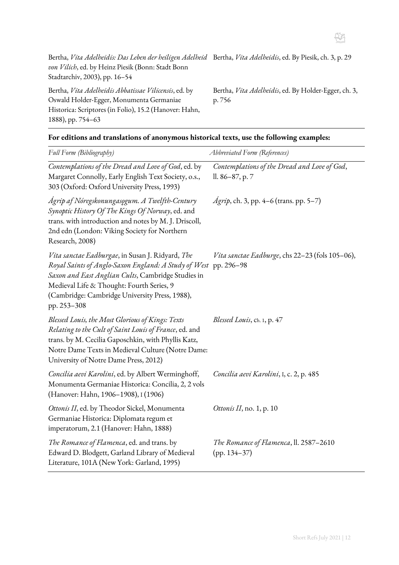

Bertha, *Vita Adelheidis: Das Leben der heiligen Adelheid*  Bertha, *Vita Adelheidis*, ed. By Piesik, ch. 3, p. 29 *von Vilich*, ed. by Heinz Piesik (Bonn: [Stadt Bonn](https://www.hugendubel.info/result?CSPCHD=010001000000TTMs9sXnu90000NNir1YsKAHRFB3U0$gcQkQ--&bpmquery=V%3A%22stadt%20bonn%20stadtarchiv%22)  [Stadtarchiv,](https://www.hugendubel.info/result?CSPCHD=010001000000TTMs9sXnu90000NNir1YsKAHRFB3U0$gcQkQ--&bpmquery=V%3A%22stadt%20bonn%20stadtarchiv%22) 2003), pp. 16–54

Bertha, *Vita Adelheidis Abbatissae Vilicensis*, ed. by Oswald Holder-Egger, Monumenta Germaniae Historica: Scriptores (in Folio), 15.2 (Hanover: Hahn, 1888), pp. 754–63

Bertha, *Vita Adelheidis*, ed. By Holder-Egger, ch. 3, p. 756

|  | For editions and translations of anonymous historical texts, use the following examples: |  |  |  |  |
|--|------------------------------------------------------------------------------------------|--|--|--|--|
|  |                                                                                          |  |  |  |  |

| Full Form (Bibliography)                                                                                                                                                                                                                                                     | <b>Abbreviated Form (References)</b>                            |
|------------------------------------------------------------------------------------------------------------------------------------------------------------------------------------------------------------------------------------------------------------------------------|-----------------------------------------------------------------|
| Contemplations of the Dread and Love of God, ed. by<br>Margaret Connolly, Early English Text Society, o.s.,<br>303 (Oxford: Oxford University Press, 1993)                                                                                                                   | Contemplations of the Dread and Love of God,<br>ll. 86–87, p. 7 |
| Ágrip af Nóregskonungasogum. A Twelfth-Century<br>Synoptic History Of The Kings Of Norway, ed. and<br>trans. with introduction and notes by M. J. Driscoll,<br>2nd edn (London: Viking Society for Northern<br>Research, 2008)                                               | <i>Ágrip</i> , ch. 3, pp. 4–6 (trans. pp. 5–7)                  |
| Vita sanctae Eadburgae, in Susan J. Ridyard, The<br>Royal Saints of Anglo-Saxon England: A Study of West<br>Saxon and East Anglian Cults, Cambridge Studies in<br>Medieval Life & Thought: Fourth Series, 9<br>(Cambridge: Cambridge University Press, 1988),<br>pp. 253-308 | Vita sanctae Eadburge, chs 22-23 (fols 105-06),<br>pp. 296-98   |
| Blessed Louis, the Most Glorious of Kings: Texts<br>Relating to the Cult of Saint Louis of France, ed. and<br>trans. by M. Cecilia Gaposchkin, with Phyllis Katz,<br>Notre Dame Texts in Medieval Culture (Notre Dame:<br>University of Notre Dame Press, 2012)              | <i>Blessed Louis</i> , ch. 1, p. 47                             |
| Concilia aevi Karolini, ed. by Albert Werminghoff,<br>Monumenta Germaniae Historica: Concilia, 2, 2 vols<br>(Hanover: Hahn, 1906-1908), 1 (1906)                                                                                                                             | Concilia aevi Karolini, I, c. 2, p. 485                         |
| Ottonis II, ed. by Theodor Sickel, Monumenta<br>Germaniae Historica: Diplomata regum et<br>imperatorum, 2.1 (Hanover: Hahn, 1888)                                                                                                                                            | Ottonis II, no. 1, p. $10$                                      |
| The Romance of Flamenca, ed. and trans. by<br>Edward D. Blodgett, Garland Library of Medieval<br>Literature, 101A (New York: Garland, 1995)                                                                                                                                  | The Romance of Flamenca, ll. 2587–2610<br>$(pp. 134-37)$        |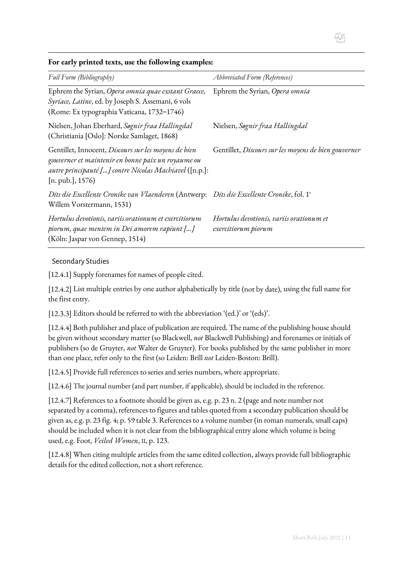# H

| For early printed texts, use the following examples: |  |
|------------------------------------------------------|--|
|------------------------------------------------------|--|

| Full Form (Bibliography)                                                                                                                                                                    | <i>Abbreviated Form (References)</i>                            |
|---------------------------------------------------------------------------------------------------------------------------------------------------------------------------------------------|-----------------------------------------------------------------|
| Ephrem the Syrian, Opera omnia quae exstant Graece,<br>Syriace, Latine, ed. by Joseph S. Assemani, 6 vols<br>(Rome: Ex typographia Vaticana, 1732-1746)                                     | Ephrem the Syrian, Opera omnia                                  |
| Nielsen, Johan Eberhard, Søgnir fraa Hallingdal<br>(Christiania [Oslo]: Norske Samlaget, 1868)                                                                                              | Nielsen, Søgnir fraa Hallingdal                                 |
| Gentillet, Innocent, Discours sur les moyens de bien<br>gouverner et maintenir en bonne paix un royaume ou<br>autre principauté [] contre Nicolas Machiavel ([n.p.]:<br>[n. pub.], $1576$ ) | Gentillet, Discours sur les moyens de bien gouverner            |
| Dits die Excellente Cronike van Vlaenderen (Antwerp: Dits die Excellente Cronike, fol. 1 <sup>r</sup><br>Willem Vorstermann, 1531)                                                          |                                                                 |
| Hortulus devotionis, variis orationum et exercitiorum<br>piorum, quae mentem in Dei amorem rapiunt []<br>(Köln: Jaspar von Gennep, 1514)                                                    | Hortulus devotionis, variis orationum et<br>exercitiorum piorum |

#### <span id="page-12-0"></span>Secondary Studies

[12.4.1] Supply forenames for names of people cited.

[12.4.2] List multiple entries by one author alphabetically by title (not by date), using the full name for the first entry.

[12.3.3] Editors should be referred to with the abbreviation '(ed.)' or '(eds)'.

[12.4.4] Both publisher and place of publication are required. The name of the publishing house should be given without secondary matter (so Blackwell, *not* Blackwell Publishing) and forenames or initials of publishers (so de Gruyter, *not* Walter de Gruyter). For books published by the same publisher in more than one place, refer only to the first (so Leiden: Brill *not* Leiden-Boston: Brill).

[12.4.5] Provide full references to series and series numbers, where appropriate.

[12.4.6] The journal number (and part number, if applicable), should be included in the reference.

[12.4.7] References to a footnote should be given as, e.g. p. 23 n. 2 (page and note number not separated by a comma), references to figures and tables quoted from a secondary publication should be given as, e.g. p. 23 fig. 4; p. 59 table 3. References to a volume number (in roman numerals, small caps) should be included when it is not clear from the bibliographical entry alone which volume is being used, e.g. Foot, *Veiled Women*, II, p. 123.

[12.4.8] When citing multiple articles from the same edited collection, always provide full bibliographic details for the edited collection, not a short reference.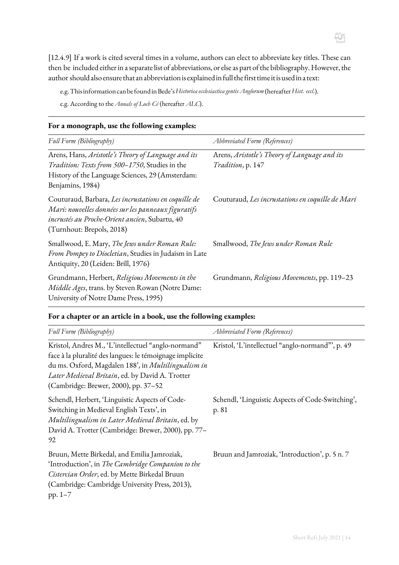[12.4.9] If a work is cited several times in a volume, authors can elect to abbreviate key titles. These can then be included either in a separate list of abbreviations, or else as part of the bibliography. However, the author should also ensure that an abbreviation is explained in full the first time it is used in a text:

e.g.ThisinformationcanbefoundinBede's*Historica ecclesiastica gentis Anglorum* (hereafter*Hist. eccl.*).

e.g. According to the *Annals of Loch Cé* (hereafter *ALC*).

| $\frac{1}{2}$ . The monographs are the rest $\frac{1}{2}$ and $\frac{1}{2}$ and $\frac{1}{2}$                                                                                              |                                                                    |
|--------------------------------------------------------------------------------------------------------------------------------------------------------------------------------------------|--------------------------------------------------------------------|
| Full Form (Bibliography)                                                                                                                                                                   | Abbreviated Form (References)                                      |
| Arens, Hans, Aristotle's Theory of Language and its<br>Tradition: Texts from 500-1750, Studies in the<br>History of the Language Sciences, 29 (Amsterdam:<br>Benjamins, 1984)              | Arens, Aristotle's Theory of Language and its<br>Tradition, p. 147 |
| Couturaud, Barbara, Les incrustations en coquille de<br>Mari: nouvelles données sur les panneaux figuratifs<br>incrustés au Proche-Orient ancien, Subartu, 40<br>(Turnhout: Brepols, 2018) | Couturaud, Les incrustations en coquille de Mari                   |
| Smallwood, E. Mary, The Jews under Roman Rule:<br>From Pompey to Diocletian, Studies in Judaism in Late<br>Antiquity, 20 (Leiden: Brill, 1976)                                             | Smallwood, The Jews under Roman Rule                               |
| Grundmann, Herbert, Religious Movements in the<br>Middle Ages, trans. by Steven Rowan (Notre Dame:<br>University of Notre Dame Press, 1995)                                                | Grundmann, Religious Movements, pp. 119-23                         |

#### **For a monograph, use the following examples:**

#### **For a chapter or an article in a book, use the following examples:**

| Full Form (Bibliography)                                                                                                                                                                                                                                          | <b>Abbreviated Form (References)</b>                      |
|-------------------------------------------------------------------------------------------------------------------------------------------------------------------------------------------------------------------------------------------------------------------|-----------------------------------------------------------|
| Kristol, Andres M., 'L'intellectuel "anglo-normand"<br>face à la pluralité des langues: le témoignage implicite<br>du ms. Oxford, Magdalen 188', in Multilingualism in<br>Later Medieval Britain, ed. by David A. Trotter<br>(Cambridge: Brewer, 2000), pp. 37-52 | Kristol, 'L'intellectuel "anglo-normand"', p. 49          |
| Schendl, Herbert, 'Linguistic Aspects of Code-<br>Switching in Medieval English Texts', in<br>Multilingualism in Later Medieval Britain, ed. by<br>David A. Trotter (Cambridge: Brewer, 2000), pp. 77-<br>92                                                      | Schendl, 'Linguistic Aspects of Code-Switching',<br>p. 81 |
| Bruun, Mette Birkedal, and Emilia Jamroziak,<br>'Introduction', in The Cambridge Companion to the<br>Cistercian Order, ed. by Mette Birkedal Bruun<br>(Cambridge: Cambridge University Press, 2013),<br>pp. $1-7$                                                 | Bruun and Jamroziak, 'Introduction', p. 5 n. 7            |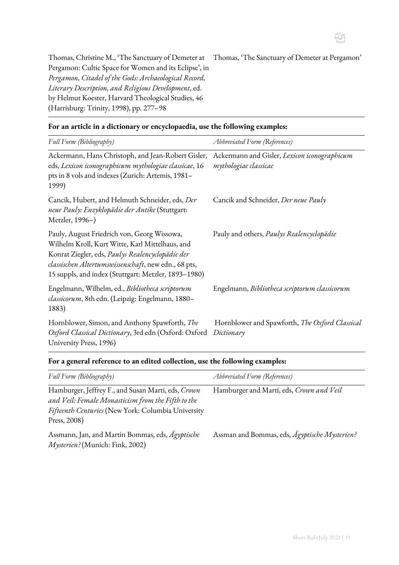

Thomas, Christine M., 'The Sanctuary of Demeter at Thomas, 'The Sanctuary of Demeter at Pergamon' Pergamon: Cultic Space for Women and its Eclipse', in *Pergamon, Citadel of the Gods: Archaeological Record, Literary Description, and Religious Development*, ed. by Helmut Koester, Harvard Theological Studies, 46 (Harrisburg: Trinity, 1998), pp. 277–98

| Full Form (Bibliography)                                                                                                                                                                                                                                           | <b>Abbreviated Form (References)</b>                                  |
|--------------------------------------------------------------------------------------------------------------------------------------------------------------------------------------------------------------------------------------------------------------------|-----------------------------------------------------------------------|
| Ackermann, Hans Christoph, and Jean-Robert Gisler,<br>eds, Lexicon iconographicum mythologiae classicae, 16<br>pts in 8 vols and indexes (Zurich: Artemis, 1981-<br>1999)                                                                                          | Ackermann and Gisler, Lexicon iconographicum<br>mythologiae classicae |
| Cancik, Hubert, and Helmuth Schneider, eds, Der<br>neue Pauly: Enzyklopädie der Antike (Stuttgart:<br>Metzler, 1996-)                                                                                                                                              | Cancik and Schneider, Der neue Pauly                                  |
| Pauly, August Friedrich von, Georg Wissowa,<br>Wilhelm Kroll, Kurt Witte, Karl Mittelhaus, and<br>Konrat Ziegler, eds, Paulys Realencyclopädie der<br>classischen Altertumswissenschaft, new edn., 68 pts,<br>15 suppls, and index (Stuttgart: Metzler, 1893-1980) | Pauly and others, Paulys Realencyclopädie                             |
| Engelmann, Wilhelm, ed., Bibliotheca scriptorum<br>classicorum, 8th edn. (Leipzig: Engelmann, 1880-<br>1883)                                                                                                                                                       | Engelmann, Bibliotheca scriptorum classicorum                         |
| Hornblower, Simon, and Anthony Spawforth, The<br>Oxford Classical Dictionary, 3rd edn (Oxford: Oxford<br>University Press, 1996)                                                                                                                                   | Hornblower and Spawforth, The Oxford Classical<br>Dictionary          |

#### **For an article in a dictionary or encyclopaedia, use the following examples:**

#### **For a general reference to an edited collection, use the following examples:**

| Full Form (Bibliography)                                                                                                                                                       | <i>Abbreviated Form (References)</i>          |
|--------------------------------------------------------------------------------------------------------------------------------------------------------------------------------|-----------------------------------------------|
| Hamburger, Jeffrey F., and Susan Marti, eds, Crown<br>and Veil: Female Monasticism from the Fifth to the<br>Fifteenth Centuries (New York: Columbia University<br>Press, 2008) | Hamburger and Marti, eds, Crown and Veil      |
| Assmann, Jan, and Martin Bommas, eds, Ägyptische<br>Mysterien? (Munich: Fink, 2002)                                                                                            | Assman and Bommas, eds, Agyptische Mysterien? |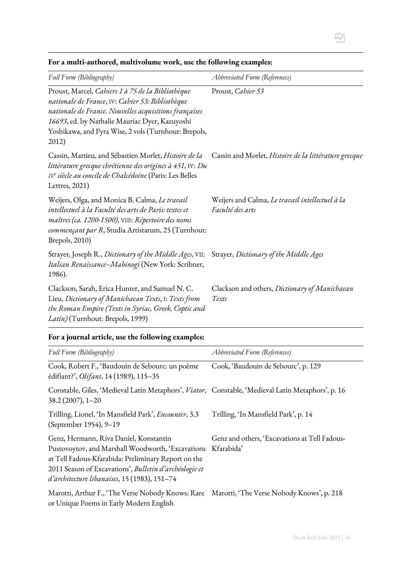| Full Form (Bibliography)                                                                                                                                                                                                                                                           | <b>Abbreviated Form (References)</b>                                |
|------------------------------------------------------------------------------------------------------------------------------------------------------------------------------------------------------------------------------------------------------------------------------------|---------------------------------------------------------------------|
| Proust, Marcel, Cahiers 1 à 75 de la Bibliothèque<br>nationale de France, IV: Cahier 53: Bibliothèque<br>nationale de France. Nouvelles acquisitions françaises<br>16693, ed. by Nathalie Mauriac Dyer, Kazuyoshi<br>Yoshikawa, and Pyra Wise, 2 vols (Turnhout: Brepols,<br>2012) | Proust, Cahier 53                                                   |
| Cassin, Mattieu, and Sébastien Morlet, Histoire de la<br>littérature grecque chrétienne des origines à 451, IV: Du<br>IVe siècle au concile de Chalcédoine (Paris: Les Belles<br>Lettres, 2021)                                                                                    | Cassin and Morlet, Histoire de la littérature grecque               |
| Weijers, Olga, and Monica B. Calma, Le travail<br>intellectuel à la Faculté des arts de Paris: textes et<br>maîtres (ca. 1200-1500), VIII: Répertoire des noms<br>commençant par R, Studia Artistarum, 25 (Turnhout:<br>Brepols, 2010)                                             | Weijers and Calma, Le travail intellectuel à la<br>Faculté des arts |
| Strayer, Joseph R., Dictionary of the Middle Ages, VII:<br>Italian Renaissance-Mabinogi (New York: Scribner,<br>1986).                                                                                                                                                             | Strayer, Dictionary of the Middle Ages                              |
| Clackson, Sarah, Erica Hunter, and Samuel N. C.<br>Lieu, Dictionary of Manichaean Texts, I: Texts from<br>the Roman Empire (Texts in Syriac, Greek, Coptic and<br>Latin) (Turnhout: Brepols, 1999)                                                                                 | Clackson and others, Dictionary of Manichaean<br>Texts              |

#### **For a multi-authored, multivolume work, use the following examples:**

## **For a journal article, use the following examples:**

| Full Form (Bibliography)                                                                                                                                                                                                                                     | Abbreviated Form (References)                               |
|--------------------------------------------------------------------------------------------------------------------------------------------------------------------------------------------------------------------------------------------------------------|-------------------------------------------------------------|
| Cook, Robert F., 'Baudouin de Sebourc: un poème<br>édifiant?', Olifant, 14 (1989), 115-35                                                                                                                                                                    | Cook, 'Baudouin de Sebourc', p. 129                         |
| Constable, Giles, 'Medieval Latin Metaphors', Viator, Constable, 'Medieval Latin Metaphors', p. 16<br>$38.2(2007), 1 - 20$                                                                                                                                   |                                                             |
| Trilling, Lionel, 'In Mansfield Park', Encounter, 3.3<br>(September 1954), 9-19                                                                                                                                                                              | Trilling, 'In Mansfield Park', p. 14                        |
| Genz, Hermann, Riva Daniel, Konstantin<br>Pustovoytov, and Marshall Woodworth, 'Excavations<br>at Tell Fadous-Kfarabida: Preliminary Report on the<br>2011 Season of Excavations', Bulletin d'archéologie et<br>d'architecture libanaises, 15 (1983), 151-74 | Genz and others, 'Excavations at Tell Fadous-<br>Kfarabida' |
| Marotti, Arthur F., 'The Verse Nobody Knows: Rare Marotti, 'The Verse Nobody Knows', p. 218<br>or Unique Poems in Early Modern English                                                                                                                       |                                                             |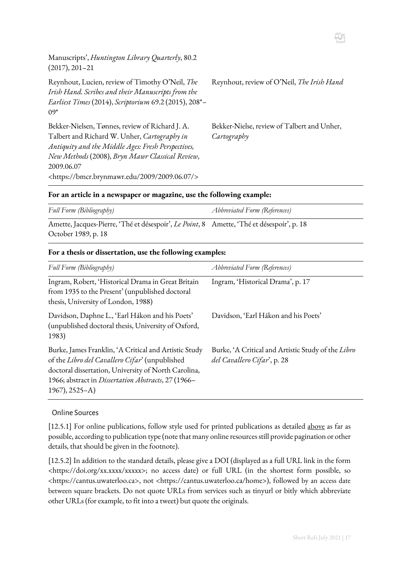| Manuscripts', Huntington Library Quarterly, 80.2<br>$(2017), 201 - 21$                                                                                                                                                                                                                 |                                                            |
|----------------------------------------------------------------------------------------------------------------------------------------------------------------------------------------------------------------------------------------------------------------------------------------|------------------------------------------------------------|
| Reynhout, Lucien, review of Timothy O'Neil, The<br>Irish Hand. Scribes and their Manuscripts from the<br>Earliest Times (2014), Scriptorium 69.2 (2015), 208*-<br>$09*$                                                                                                                | Reynhout, review of O'Neil, The Irish Hand                 |
| Bekker-Nielsen, Tønnes, review of Richard J. A.<br>Talbert and Richard W. Unher, Cartography in<br>Antiquity and the Middle Ages: Fresh Perspectives,<br>New Methods (2008), Bryn Mawr Classical Review,<br>2009.06.07<br><https: 2009="" 2009.06.07="" bmcr.brynmawr.edu=""></https:> | Bekker-Nielse, review of Talbert and Unher,<br>Cartography |

#### **For an article in a newspaper or magazine, use the following example:**

| Full Form (Bibliography)                                                                  | <i>Abbreviated Form (References)</i> |
|-------------------------------------------------------------------------------------------|--------------------------------------|
| Amette, Jacques-Pierre, 'Thé et désespoir', Le Point, 8 Amette, 'Thé et désespoir', p. 18 |                                      |
| October 1989, p. 18                                                                       |                                      |

#### **For a thesis or dissertation, use the following examples:**

| Full Form (Bibliography)                                                                                                                                                                                                                        | Abbreviated Form (References)                                                     |
|-------------------------------------------------------------------------------------------------------------------------------------------------------------------------------------------------------------------------------------------------|-----------------------------------------------------------------------------------|
| Ingram, Robert, 'Historical Drama in Great Britain<br>from 1935 to the Present' (unpublished doctoral<br>thesis, University of London, 1988)                                                                                                    | Ingram, 'Historical Drama', p. 17                                                 |
| Davidson, Daphne L., 'Earl Hákon and his Poets'<br>(unpublished doctoral thesis, University of Oxford,<br>1983)                                                                                                                                 | Davidson, 'Earl Hákon and his Poets'                                              |
| Burke, James Franklin, 'A Critical and Artistic Study<br>of the Libro del Cavallero Cifar' (unpublished<br>doctoral dissertation, University of North Carolina,<br>1966; abstract in Dissertation Abstracts, 27 (1966–<br>$1967$ , $2525 - A$ ) | Burke, 'A Critical and Artistic Study of the Libro<br>del Cavallero Cifar', p. 28 |

#### Online Sources

[12.5.1] For online publications, follow style used for printed publications as detailed [above](#page-12-0) as far as possible, according to publication type(note that many online resources still provide pagination or other details, that should be given in the footnote).

[12.5.2] In addition to the standard details, please give a DOI (displayed as a full URL link in the form [<https://doi.org/xx.xxxx/xxxxx>](https://doi.org/xx.xxxx/xxxxx); no access date) or full URL (in the shortest form possible, so [<https://cantus.uwaterloo.ca>](https://cantus.uwaterloo.ca/), not [<https://cantus.uwaterloo.ca/home>](https://cantus.uwaterloo.ca/home)), followed by an access date between square brackets. Do not quote URLs from services such as tinyurl or bitly which abbreviate other URLs (for example, to fit into a tweet) but quote the originals.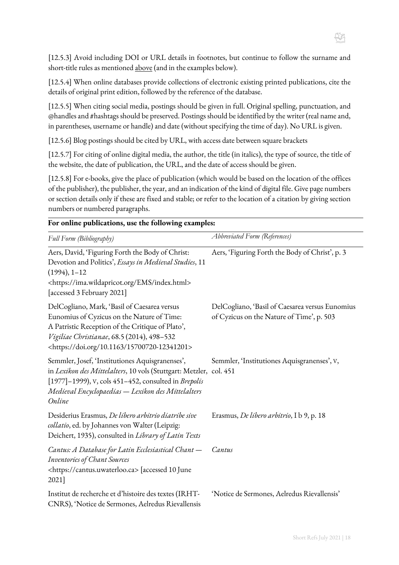[12.5.3] Avoid including DOI or URL details in footnotes, but continue to follow the surname and short-title rules as mentioned above (and in the examples below).

[12.5.4] When online databases provide collections of electronic existing printed publications, cite the details of original print edition, followed by the reference of the database.

[12.5.5] When citing social media, postings should be given in full. Original spelling, punctuation, and @handles and #hashtags should be preserved. Postings should be identified by the writer (real name and, in parentheses, username or handle) and date (without specifying the time of day). No URL is given.

[12.5.6] Blog postings should be cited by URL, with access date between square brackets

[12.5.7] For citing of online digital media, the author, the title (in italics), the type of source, the title of the website, the date of publication, the URL, and the date of access should be given.

[12.5.8] For e-books, give the place of publication (which would be based on the location of the offices of the publisher), the publisher, the year, and an indication of the kind of digital file. Give page numbers or section details only if these are fixed and stable; or refer to the location of a citation by giving section numbers or numbered paragraphs.

| For online publications, use the following examples:                                                                                                                                                                                                         |                                                                                              |  |
|--------------------------------------------------------------------------------------------------------------------------------------------------------------------------------------------------------------------------------------------------------------|----------------------------------------------------------------------------------------------|--|
| Full Form (Bibliography)                                                                                                                                                                                                                                     | Abbreviated Form (References)                                                                |  |
| Aers, David, 'Figuring Forth the Body of Christ:<br>Devotion and Politics', Essays in Medieval Studies, 11<br>$(1994), 1 - 12$<br><https: ems="" ima.wildapricot.org="" index.html=""><br/>[accessed 3 February 2021]</https:>                               | Aers, 'Figuring Forth the Body of Christ', p. 3                                              |  |
| DelCogliano, Mark, 'Basil of Caesarea versus<br>Eunomius of Cyzicus on the Nature of Time:<br>A Patristic Reception of the Critique of Plato',<br>Vigiliae Christianae, 68.5 (2014), 498-532<br><https: 10.1163="" 15700720-12341201="" doi.org=""></https:> | DelCogliano, 'Basil of Caesarea versus Eunomius<br>of Cyzicus on the Nature of Time', p. 503 |  |
| Semmler, Josef, 'Institutiones Aquisgranenses',<br>in Lexikon des Mittelalters, 10 vols (Stuttgart: Metzler, col. 451<br>[1977]-1999), v, cols 451-452, consulted in Brepolis<br>Medieval Encyclopaedias - Lexikon des Mittelalters<br>Online                | Semmler, 'Institutiones Aquisgranenses', V,                                                  |  |
| Desiderius Erasmus, De libero arbitrio diatribe sive<br>collatio, ed. by Johannes von Walter (Leipzig:<br>Deichert, 1935), consulted in Library of Latin Texts                                                                                               | Erasmus, <i>De libero arbitrio</i> , I b 9, p. 18                                            |  |
| Cantus: A Database for Latin Ecclesiastical Chant -<br>Inventories of Chant Sources<br><https: cantus.uwaterloo.ca=""> [accessed 10 June<br/>2021]</https:>                                                                                                  | Cantus                                                                                       |  |
| Institut de recherche et d'histoire des textes (IRHT-<br>CNRS), 'Notice de Sermones, Aelredus Rievallensis                                                                                                                                                   | 'Notice de Sermones, Aelredus Rievallensis'                                                  |  |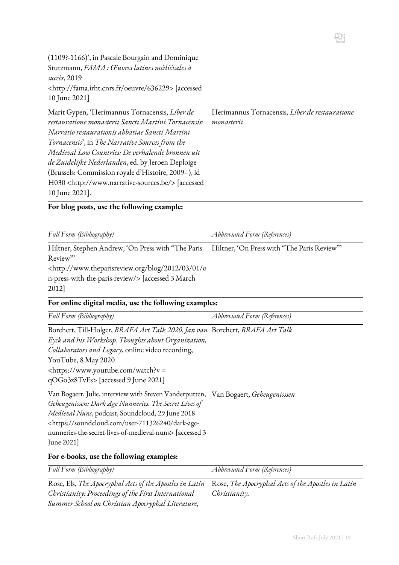(1109?-1166)', in Pascale Bourgain and Dominique Stutzmann, *FAMA : Œuvres latines médiévales à succès*, 2019 [<http://fama.irht.cnrs.fr/oeuvre/636229>](http://fama.irht.cnrs.fr/oeuvre/636229) [accessed 10 June 2021]

Marit Gypen, 'Herimannus Tornacensis, *Liber de restauratione monasterii Sancti Martini Tornacensis; Narratio restaurationis abbatiae Sancti Martini Tornacensis*', in *The Narrative Sources from the Medieval Low Countries: De verhalende bronnen uit de Zuidelijke Nederlanden*, ed. by Jeroen Deploige (Brussels: Commission royale d'Histoire, 2009–), id H030 <http://www.narrative-sources.be/> [accessed Herimannus Tornacensis, *Liber de restauratione monasterii*

H

**For blog posts, use the following example:**

10 June 2021].

| Full Form (Bibliography)                                                                   | <i>Abbreviated Form (References)</i>       |
|--------------------------------------------------------------------------------------------|--------------------------------------------|
| Hiltner, Stephen Andrew, 'On Press with "The Paris                                         | Hiltner, 'On Press with "The Paris Review" |
| Review"                                                                                    |                                            |
| <http: 01="" 03="" 2012="" blog="" o<="" td="" www.theparisreview.org=""><td></td></http:> |                                            |
| n-press-with-the-paris-review/> [accessed 3 March]                                         |                                            |
| 2012]                                                                                      |                                            |

#### **For online digital media, use the following examples:**

| Full Form (Bibliography)                                                                                                                                                                                                                                                                                                                                         | Abbreviated Form (References) |
|------------------------------------------------------------------------------------------------------------------------------------------------------------------------------------------------------------------------------------------------------------------------------------------------------------------------------------------------------------------|-------------------------------|
| Borchert, Till-Holger, BRAFA Art Talk 2020. Jan van Borchert, BRAFA Art Talk<br>Eyck and his Workshop. Thoughts about Organization,<br>Collaborators and Legacy, online video recording,<br>YouTube, 8 May 2020<br><https: watch?v="&lt;br" www.youtube.com="">qOGo3z8TvEs&gt; [accessed 9 June 2021]</https:>                                                   |                               |
| Van Bogaert, Julie, interview with Steven Vanderputten, Van Bogaert, Geheugenisssen<br>Geheugenissen: Dark Age Nunneries. The Secret Lives of<br>Medieval Nuns, podcast, Soundcloud, 29 June 2018<br><https: dark-age-<br="" soundcloud.com="" user-711326240="">nunneries-the-secret-lives-of-medieval-nuns&gt; [accessed 3<br/>June <math>2021</math></https:> |                               |
| For e-books, use the following examples:                                                                                                                                                                                                                                                                                                                         |                               |

| Full Form (Bibliography)                                                                                   | Abbreviated Form (References) |
|------------------------------------------------------------------------------------------------------------|-------------------------------|
| Rose, Els, The Apocryphal Acts of the Apostles in Latin Rose, The Apocryphal Acts of the Apostles in Latin |                               |
| Christianity: Proceedings of the First International                                                       | Christianity.                 |
| Summer School on Christian Apocryphal Literature,                                                          |                               |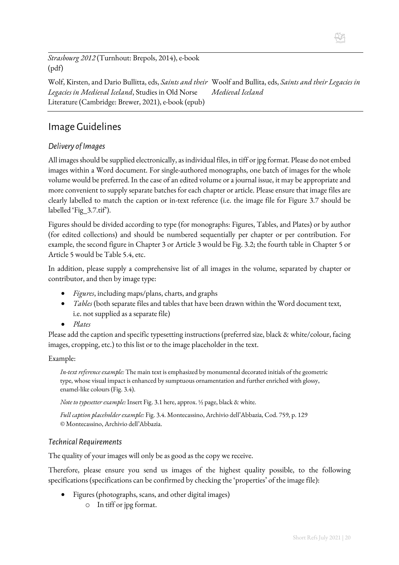*Strasbourg 2012* (Turnhout: Brepols, 2014), e-book (pdf)

Wolf, Kirsten, and Dario Bullitta, eds, *Saints and their Woolf and Bullita, eds, Saints and their Legacies in Legacies in Medieval Iceland*, Studies in Old Norse Literature (Cambridge: Brewer, 2021), e-book (epub) *Medieval Iceland*

## <span id="page-19-0"></span>Image Guidelines

## *Delivery of Images*

All images should be supplied electronically, as individual files, in tiff or jpg format. Please do not embed images within a Word document. For single-authored monographs, one batch of images for the whole volume would be preferred. In the case of an edited volume or a journal issue, it may be appropriate and more convenient to supply separate batches for each chapter or article. Please ensure that image files are clearly labelled to match the caption or in-text reference (i.e. the image file for Figure 3.7 should be labelled 'Fig\_3.7.tif').

Figures should be divided according to type (for monographs: Figures, Tables, and Plates) or by author (for edited collections) and should be numbered sequentially per chapter or per contribution. For example, the second figure in Chapter 3 or Article 3 would be Fig. 3.2; the fourth table in Chapter 5 or Article 5 would be Table 5.4, etc.

In addition, please supply a comprehensive list of all images in the volume, separated by chapter or contributor, and then by image type:

- *Figures*, including maps/plans, charts, and graphs
- *Tables* (both separate files and tables that have been drawn within the Word document text, i.e. not supplied as a separate file)
- *Plates*

Please add the caption and specific typesetting instructions (preferred size, black & white/colour, facing images, cropping, etc.) to this list or to the image placeholder in the text.

#### Example:

*In-text reference example:* The main text is emphasized by monumental decorated initials of the geometric type, whose visual impact is enhanced by sumptuous ornamentation and further enriched with glossy, enamel-like colours (Fig. 3.4).

*Note to typesetter example:* Insert Fig. 3.1 here, approx. ½ page, black & white.

*Full caption placeholder example:* Fig. 3.4. Montecassino, Archivio dell'Abbazia, Cod. 759, p. 129 © Montecassino, Archivio dell'Abbazia.

#### *Technical Requirements*

The quality of your images will only be as good as the copy we receive.

Therefore, please ensure you send us images of the highest quality possible, to the following specifications (specifications can be confirmed by checking the 'properties' of the image file):

- Figures (photographs, scans, and other digital images)
	- o In tiff or jpg format.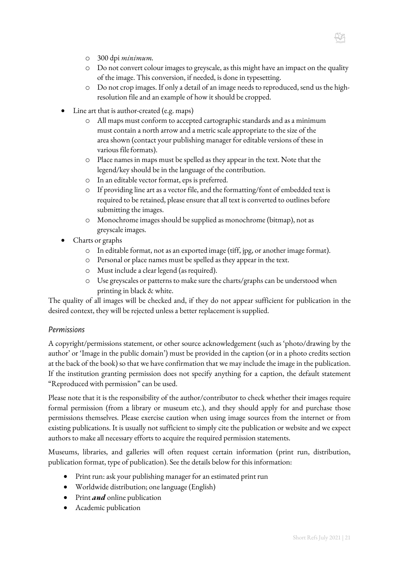- o 300 dpi *minimum.*
- o Do not convert colour images to greyscale, as this might have an impact on the quality of the image. This conversion, if needed, is done in typesetting.
- o Do not crop images. If only a detail of an image needs to reproduced, send us the highresolution file and an example of how it should be cropped.
- Line art that is author-created (e.g. maps)
	- o All maps must conform to accepted cartographic standards and as a minimum must contain a north arrow and a metric scale appropriate to the size of the area shown (contact your publishing manager for editable versions of these in various file formats).
	- o Place names in maps must be spelled as they appear in the text. Note that the legend/key should be in the language of the contribution.
	- o In an editable vector format, eps is preferred.
	- o If providing line art as a vector file, and the formatting/font of embedded text is required to be retained, please ensure that all text is converted to outlines before submitting the images.
	- o Monochrome images should be supplied as monochrome (bitmap), not as greyscale images.
- Charts or graphs
	- o In editable format, not as an exported image (tiff, jpg, or another image format).
	- o Personal or place names must be spelled as they appear in the text.
	- o Must include a clear legend (as required).
	- o Use greyscales or patterns to make sure the charts/graphs can be understood when printing in black & white.

The quality of all images will be checked and, if they do not appear sufficient for publication in the desired context, they will be rejected unless a better replacement is supplied.

#### *Permissions*

A copyright/permissions statement, or other source acknowledgement (such as 'photo/drawing by the author' or 'Image in the public domain') must be provided in the caption (or in a photo credits section at the back of the book) so that we have confirmation that we may include the image in the publication. If the institution granting permission does not specify anything for a caption, the default statement "Reproduced with permission" can be used.

Please note that it is the responsibility of the author/contributor to check whether their images require formal permission (from a library or museum etc.), and they should apply for and purchase those permissions themselves. Please exercise caution when using image sources from the internet or from existing publications. It is usually not sufficient to simply cite the publication or website and we expect authors to make all necessary efforts to acquire the required permission statements.

Museums, libraries, and galleries will often request certain information (print run, distribution, publication format, type of publication). See the details below for this information:

- Print run: ask your publishing manager for an estimated print run
- Worldwide distribution; one language (English)
- Print *and* online publication
- Academic publication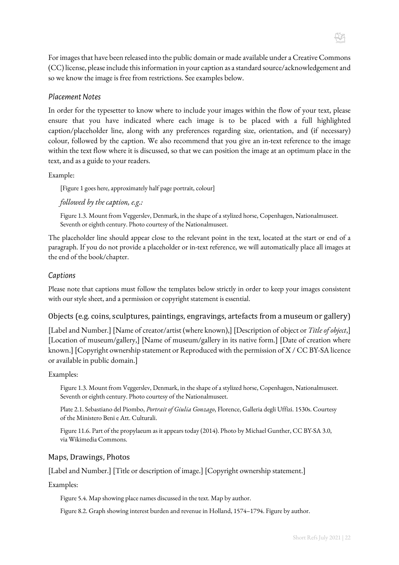H

For images that have been released into the public domain or made available under a Creative Commons (CC) license, please include this information in your caption as a standard source/acknowledgement and so we know the image is free from restrictions. See examples below.

#### *Placement Notes*

In order for the typesetter to know where to include your images within the flow of your text, please ensure that you have indicated where each image is to be placed with a full highlighted caption/placeholder line, along with any preferences regarding size, orientation, and (if necessary) colour, followed by the caption. We also recommend that you give an in-text reference to the image within the text flow where it is discussed, so that we can position the image at an optimum place in the text, and as a guide to your readers.

Example:

[Figure 1 goes here, approximately half page portrait, colour]

*followed by the caption, e.g.:*

Figure 1.3. Mount from Veggerslev, Denmark, in the shape of a stylized horse, Copenhagen, Nationalmuseet. Seventh or eighth century. Photo courtesy of the Nationalmuseet.

The placeholder line should appear close to the relevant point in the text, located at the start or end of a paragraph. If you do not provide a placeholder or in-text reference, we will automatically place all images at the end of the book/chapter.

#### *Captions*

Please note that captions must follow the templates below strictly in order to keep your images consistent with our style sheet, and a permission or copyright statement is essential.

#### Objects (e.g. coins, sculptures, paintings, engravings, artefacts from a museum or gallery)

[Label and Number.] [Name of creator/artist (where known),] [Description of object or *Title of object*,] [Location of museum/gallery,] [Name of museum/gallery in its native form.] [Date of creation where known.] [Copyright ownership statement or Reproduced with the permission of X / CC BY-SA licence or available in public domain.]

#### Examples:

Figure 1.3. Mount from Veggerslev, Denmark, in the shape of a stylized horse, Copenhagen, Nationalmuseet. Seventh or eighth century. Photo courtesy of the Nationalmuseet.

Plate 2.1. Sebastiano del Piombo, *Portrait of Giulia Gonzago*, Florence, Galleria degli Uffizi. 1530s. Courtesy of the Ministero Beni e Att. Culturali.

Figure 11.6. Part of the propylaeum as it appears today (2014). Photo by Michael Gunther, CC BY-SA 3.0, via Wikimedia Commons.

#### Maps, Drawings, Photos

[Label and Number.] [Title or description of image.] [Copyright ownership statement.]

Examples:

Figure 5.4. Map showing place names discussed in the text. Map by author.

Figure 8.2. Graph showing interest burden and revenue in Holland, 1574–1794. Figure by author.